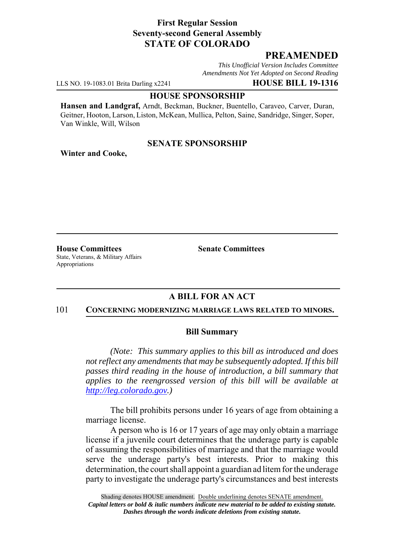## **First Regular Session Seventy-second General Assembly STATE OF COLORADO**

# **PREAMENDED**

*This Unofficial Version Includes Committee Amendments Not Yet Adopted on Second Reading*

LLS NO. 19-1083.01 Brita Darling x2241 **HOUSE BILL 19-1316**

#### **HOUSE SPONSORSHIP**

**Hansen and Landgraf,** Arndt, Beckman, Buckner, Buentello, Caraveo, Carver, Duran, Geitner, Hooton, Larson, Liston, McKean, Mullica, Pelton, Saine, Sandridge, Singer, Soper, Van Winkle, Will, Wilson

## **SENATE SPONSORSHIP**

**Winter and Cooke,**

**House Committees Senate Committees** State, Veterans, & Military Affairs Appropriations

# **A BILL FOR AN ACT**

#### 101 **CONCERNING MODERNIZING MARRIAGE LAWS RELATED TO MINORS.**

## **Bill Summary**

*(Note: This summary applies to this bill as introduced and does not reflect any amendments that may be subsequently adopted. If this bill passes third reading in the house of introduction, a bill summary that applies to the reengrossed version of this bill will be available at http://leg.colorado.gov.)*

The bill prohibits persons under 16 years of age from obtaining a marriage license.

A person who is 16 or 17 years of age may only obtain a marriage license if a juvenile court determines that the underage party is capable of assuming the responsibilities of marriage and that the marriage would serve the underage party's best interests. Prior to making this determination, the court shall appoint a guardian ad litem for the underage party to investigate the underage party's circumstances and best interests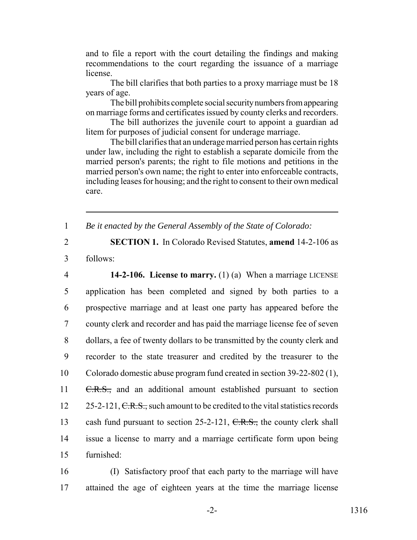and to file a report with the court detailing the findings and making recommendations to the court regarding the issuance of a marriage license.

The bill clarifies that both parties to a proxy marriage must be 18 years of age.

The bill prohibits complete social security numbers from appearing on marriage forms and certificates issued by county clerks and recorders.

The bill authorizes the juvenile court to appoint a guardian ad litem for purposes of judicial consent for underage marriage.

The bill clarifies that an underage married person has certain rights under law, including the right to establish a separate domicile from the married person's parents; the right to file motions and petitions in the married person's own name; the right to enter into enforceable contracts, including leases for housing; and the right to consent to their own medical care.

1 *Be it enacted by the General Assembly of the State of Colorado:*

2 **SECTION 1.** In Colorado Revised Statutes, **amend** 14-2-106 as 3 follows:

 **14-2-106. License to marry.** (1) (a) When a marriage LICENSE application has been completed and signed by both parties to a prospective marriage and at least one party has appeared before the county clerk and recorder and has paid the marriage license fee of seven dollars, a fee of twenty dollars to be transmitted by the county clerk and recorder to the state treasurer and credited by the treasurer to the Colorado domestic abuse program fund created in section 39-22-802 (1), 11 C.R.S., and an additional amount established pursuant to section  $25-2-121$ , C.R.S., such amount to be credited to the vital statistics records 13 cash fund pursuant to section 25-2-121, C.R.S., the county clerk shall issue a license to marry and a marriage certificate form upon being furnished:

16 (I) Satisfactory proof that each party to the marriage will have 17 attained the age of eighteen years at the time the marriage license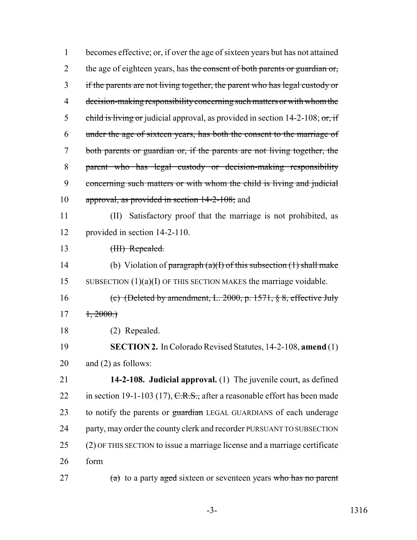| 1              | becomes effective; or, if over the age of sixteen years but has not attained     |
|----------------|----------------------------------------------------------------------------------|
| $\overline{2}$ | the age of eighteen years, has the consent of both parents or guardian or,       |
| 3              | if the parents are not living together, the parent who has legal custody or      |
| 4              | decision-making responsibility concerning such matters or with whom the          |
| 5              | child is living or judicial approval, as provided in section $14-2-108$ ; or, if |
| 6              | under the age of sixteen years, has both the consent to the marriage of          |
| 7              | both parents or guardian or, if the parents are not living together, the         |
| 8              | parent who has legal custody or decision-making responsibility                   |
| 9              | concerning such matters or with whom the child is living and judicial            |
| 10             | approval, as provided in section 14-2-108; and                                   |
| 11             | Satisfactory proof that the marriage is not prohibited, as<br>(II)               |
| 12             | provided in section 14-2-110.                                                    |
| 13             | (III) Repealed.                                                                  |
| 14             | (b) Violation of paragraph $(a)(1)$ of this subsection $(1)$ shall make          |
| 15             | SUBSECTION $(1)(a)(I)$ OF THIS SECTION MAKES the marriage voidable.              |
| 16             | (c) (Deleted by amendment, L. 2000, p. 1571, $\S$ 8, effective July              |
| 17             | $\pm, 2000.$                                                                     |
| 18             | (2) Repealed.                                                                    |
| 19             | <b>SECTION 2.</b> In Colorado Revised Statutes, 14-2-108, amend (1)              |
| 20             | and $(2)$ as follows:                                                            |
| 21             | 14-2-108. Judicial approval. (1) The juvenile court, as defined                  |
| 22             | in section 19-1-103 (17), $C.R.S.,$ after a reasonable effort has been made      |
| 23             | to notify the parents or guardian LEGAL GUARDIANS of each underage               |
| 24             | party, may order the county clerk and recorder PURSUANT TO SUBSECTION            |
| 25             | (2) OF THIS SECTION to issue a marriage license and a marriage certificate       |
| 26             | form                                                                             |
| $\sim$ $\sim$  |                                                                                  |

27  $(a)$  to a party aged sixteen or seventeen years who has no parent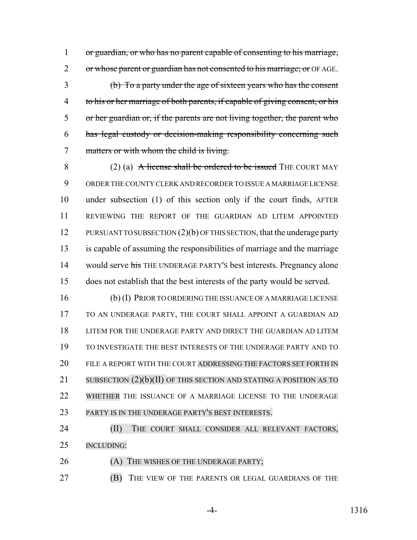1 or guardian, or who has no parent capable of consenting to his marriage, 2 or whose parent or guardian has not consented to his marriage; or OF AGE.

 (b) To a party under the age of sixteen years who has the consent 4 to his or her marriage of both parents, if capable of giving consent, or his or her guardian or, if the parents are not living together, the parent who has legal custody or decision-making responsibility concerning such matters or with whom the child is living.

8 (2) (a) A license shall be ordered to be issued THE COURT MAY ORDER THE COUNTY CLERK AND RECORDER TO ISSUE A MARRIAGE LICENSE under subsection (1) of this section only if the court finds, AFTER REVIEWING THE REPORT OF THE GUARDIAN AD LITEM APPOINTED 12 PURSUANT TO SUBSECTION (2)(b) OF THIS SECTION, that the underage party is capable of assuming the responsibilities of marriage and the marriage 14 would serve his THE UNDERAGE PARTY's best interests. Pregnancy alone does not establish that the best interests of the party would be served.

 (b) (I) PRIOR TO ORDERING THE ISSUANCE OF A MARRIAGE LICENSE TO AN UNDERAGE PARTY, THE COURT SHALL APPOINT A GUARDIAN AD LITEM FOR THE UNDERAGE PARTY AND DIRECT THE GUARDIAN AD LITEM TO INVESTIGATE THE BEST INTERESTS OF THE UNDERAGE PARTY AND TO 20 FILE A REPORT WITH THE COURT ADDRESSING THE FACTORS SET FORTH IN 21 SUBSECTION (2)(b)(II) OF THIS SECTION AND STATING A POSITION AS TO WHETHER THE ISSUANCE OF A MARRIAGE LICENSE TO THE UNDERAGE PARTY IS IN THE UNDERAGE PARTY'S BEST INTERESTS.

24 (II) THE COURT SHALL CONSIDER ALL RELEVANT FACTORS, INCLUDING:

26 (A) THE WISHES OF THE UNDERAGE PARTY;

(B) THE VIEW OF THE PARENTS OR LEGAL GUARDIANS OF THE

-4- 1316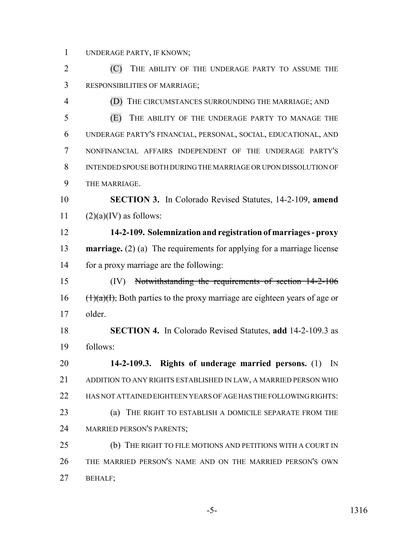UNDERAGE PARTY, IF KNOWN;

 (C) THE ABILITY OF THE UNDERAGE PARTY TO ASSUME THE RESPONSIBILITIES OF MARRIAGE;

 (D) THE CIRCUMSTANCES SURROUNDING THE MARRIAGE; AND (E) THE ABILITY OF THE UNDERAGE PARTY TO MANAGE THE UNDERAGE PARTY'S FINANCIAL, PERSONAL, SOCIAL, EDUCATIONAL, AND NONFINANCIAL AFFAIRS INDEPENDENT OF THE UNDERAGE PARTY'S INTENDED SPOUSE BOTH DURING THE MARRIAGE OR UPON DISSOLUTION OF THE MARRIAGE.

 **SECTION 3.** In Colorado Revised Statutes, 14-2-109, **amend** 11  $(2)(a)(IV)$  as follows:

- **14-2-109. Solemnization and registration of marriages proxy marriage.** (2) (a) The requirements for applying for a marriage license for a proxy marriage are the following:
- (IV) Notwithstanding the requirements of section 14-2-106 (1)(a)(I), Both parties to the proxy marriage are eighteen years of age or older.
- **SECTION 4.** In Colorado Revised Statutes, **add** 14-2-109.3 as follows:

 **14-2-109.3. Rights of underage married persons.** (1) IN ADDITION TO ANY RIGHTS ESTABLISHED IN LAW, A MARRIED PERSON WHO HAS NOT ATTAINED EIGHTEEN YEARS OF AGE HAS THE FOLLOWING RIGHTS: (a) THE RIGHT TO ESTABLISH A DOMICILE SEPARATE FROM THE MARRIED PERSON'S PARENTS;

25 (b) THE RIGHT TO FILE MOTIONS AND PETITIONS WITH A COURT IN THE MARRIED PERSON'S NAME AND ON THE MARRIED PERSON'S OWN BEHALF;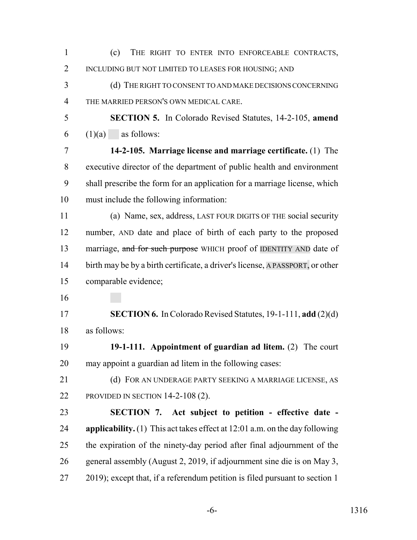| $\mathbf{1}$   | (c)<br>THE RIGHT TO ENTER INTO ENFORCEABLE CONTRACTS,                                |
|----------------|--------------------------------------------------------------------------------------|
| $\overline{2}$ | INCLUDING BUT NOT LIMITED TO LEASES FOR HOUSING; AND                                 |
| 3              | (d) THE RIGHT TO CONSENT TO AND MAKE DECISIONS CONCERNING                            |
| $\overline{4}$ | THE MARRIED PERSON'S OWN MEDICAL CARE.                                               |
| 5              | <b>SECTION 5.</b> In Colorado Revised Statutes, 14-2-105, amend                      |
| 6              | $(1)(a)$ as follows:                                                                 |
| 7              | 14-2-105. Marriage license and marriage certificate. (1) The                         |
| 8              | executive director of the department of public health and environment                |
| 9              | shall prescribe the form for an application for a marriage license, which            |
| 10             | must include the following information:                                              |
| 11             | (a) Name, sex, address, LAST FOUR DIGITS OF THE social security                      |
| 12             | number, AND date and place of birth of each party to the proposed                    |
| 13             | marriage, and for such purpose WHICH proof of IDENTITY AND date of                   |
| 14             | birth may be by a birth certificate, a driver's license, A PASSPORT, or other        |
| 15             | comparable evidence;                                                                 |
| 16             |                                                                                      |
| 17             | <b>SECTION 6.</b> In Colorado Revised Statutes, 19-1-111, add (2)(d)                 |
| 18             | as follows:                                                                          |
| 19             | 19-1-111. Appointment of guardian ad litem. $(2)$ The court                          |
| 20             | may appoint a guardian ad litem in the following cases:                              |
| 21             | (d) FOR AN UNDERAGE PARTY SEEKING A MARRIAGE LICENSE, AS                             |
| 22             | PROVIDED IN SECTION $14-2-108(2)$ .                                                  |
| 23             | SECTION 7. Act subject to petition - effective date -                                |
| 24             | <b>applicability.</b> (1) This act takes effect at $12:01$ a.m. on the day following |
| 25             | the expiration of the ninety-day period after final adjournment of the               |
| 26             | general assembly (August 2, 2019, if adjournment sine die is on May 3,               |
| 27             | 2019); except that, if a referendum petition is filed pursuant to section 1          |